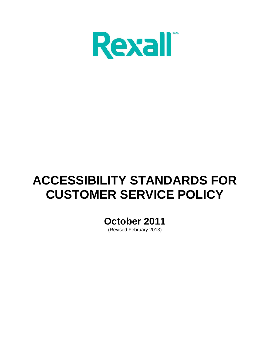

# **ACCESSIBILITY STANDARDS FOR CUSTOMER SERVICE POLICY**

**October 2011**

(Revised February 2013)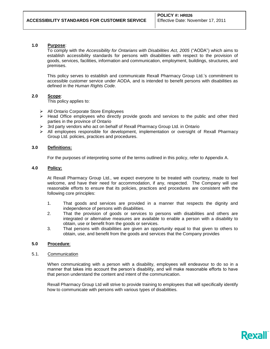## **1.0 Purpose**:

To comply with the *Accessibility for Ontarians with Disabilities Act, 2005* ("AODA") which aims to establish accessibility standards for persons with disabilities with respect to the provision of goods, services, facilities, information and communication, employment, buildings, structures, and premises.

This policy serves to establish and communicate Rexall Pharmacy Group Ltd.'s commitment to accessible customer service under AODA, and is intended to benefit persons with disabilities as defined in the *Human Rights Code*.

#### **2.0 Scope**:

This policy applies to:

- > All Ontario Corporate Store Employees
- $\triangleright$  Head Office employees who directly provide goods and services to the public and other third parties in the province of Ontario
- $\triangleright$  3rd party vendors who act on behalf of Rexall Pharmacy Group Ltd. in Ontario
- $\triangleright$  All employees responsible for development, implementation or oversight of Rexall Pharmacy Group Ltd. policies, practices and procedures.

#### **3.0 Definitions:**

For the purposes of interpreting some of the terms outlined in this policy, refer to Appendix A.

## **4.0 Policy:**

At Rexall Pharmacy Group Ltd., we expect everyone to be treated with courtesy, made to feel welcome, and have their need for accommodation, if any, respected. The Company will use reasonable efforts to ensure that its policies, practices and procedures are consistent with the following core principles:

- 1. That goods and services are provided in a manner that respects the dignity and independence of persons with disabilities.
- 2. That the provision of goods or services to persons with disabilities and others are integrated or alternative measures are available to enable a person with a disability to obtain, use or benefit from the goods or services.
- 3. That persons with disabilities are given an opportunity equal to that given to others to obtain, use, and benefit from the goods and services that the Company provides

## **5.0 Procedure**:

#### 5.1. Communication

When communicating with a person with a disability, employees will endeavour to do so in a manner that takes into account the person's disability, and will make reasonable efforts to have that person understand the content and intent of the communication.

Rexall Pharmacy Group Ltd will strive to provide training to employees that will specifically identify how to communicate with persons with various types of disabilities.

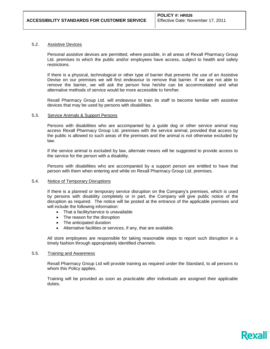#### 5.2. Assistive Devices

Personal assistive devices are permitted, where possible, in all areas of Rexall Pharmacy Group Ltd. premises to which the public and/or employees have access, subject to health and safety restrictions.

If there is a physical, technological or other type of barrier that prevents the use of an Assistive Devise on our premises we will first endeavour to remove that barrier. If we are not able to remove the barrier, we will ask the person how he/she can be accommodated and what alternative methods of service would be more accessible to him/her.

Rexall Pharmacy Group Ltd. will endeavour to train its staff to become familiar with assistive devices that may be used by persons with disabilities.

#### 5.3. Service Animals & Support Persons

Persons with disabilities who are accompanied by a guide dog or other service animal may access Rexall Pharmacy Group Ltd. premises with the service animal, provided that access by the public is allowed to such areas of the premises and the animal is not otherwise excluded by law.

If the service animal is excluded by law, alternate means will be suggested to provide access to the service for the person with a disability.

Persons with disabilities who are accompanied by a support person are entitled to have that person with them when entering and while on Rexall Pharmacy Group Ltd. premises.

#### 5.4. Notice of Temporary Disruptions

If there is a planned or temporary service disruption on the Company's premises, which is used by persons with disability completely or in part, the Company will give public notice of the disruption as required. The notice will be posted at the entrance of the applicable premises and will include the following information:

- That a facility/service is unavailable
- The reason for the disruption
- The anticipated duration
- Alternative facilities or services, if any, that are available.

All store employees are responsible for taking reasonable steps to report such disruption in a timely fashion through appropriately identified channels.

#### 5.5. Training and Awareness

Rexall Pharmacy Group Ltd will provide training as required under the Standard, to all persons to whom this Policy applies.

Training will be provided as soon as practicable after individuals are assigned their applicable duties.

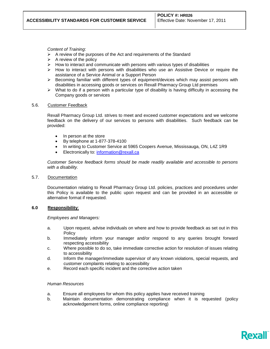## *Content of Training*:

- $\triangleright$  A review of the purposes of the Act and requirements of the Standard
- $\triangleright$  A review of the policy
- $\triangleright$  How to interact and communicate with persons with various types of disabilities
- $\triangleright$  How to interact with persons with disabilities who use an Assistive Device or require the assistance of a Service Animal or a Support Person
- $\triangleright$  Becoming familiar with different types of equipment/devices which may assist persons with disabilities in accessing goods or services on Rexall Pharmacy Group Ltd premises
- $\triangleright$  What to do if a person with a particular type of disability is having difficulty in accessing the Company goods or services

## 5.6. Customer Feedback

Rexall Pharmacy Group Ltd. strives to meet and exceed customer expectations and we welcome feedback on the delivery of our services to persons with disabilities. Such feedback can be provided:

- In person at the store
- By telephone at 1-877-378-4100
- In writing to Customer Service at 5965 Coopers Avenue, Mississauga, ON, L4Z 1R9
- Electronically to: [information@rexall.ca](mailto:information@rexall.ca)

*Customer Service feedback forms should be made readily available and accessible to persons with a disability.* 

## 5.7. Documentation

Documentation relating to Rexall Pharmacy Group Ltd. policies, practices and procedures under this Policy is available to the public upon request and can be provided in an accessible or alternative format if requested.

## **6.0 Responsibility**:

#### *Employees and Managers:*

- a. Upon request, advise individuals on where and how to provide feedback as set out in this **Policy**
- b. Immediately inform your manager and/or respond to any queries brought forward respecting accessibility
- c. Where possible to do so, take immediate corrective action for resolution of issues relating to accessibility
- d. Inform the manager/immediate supervisor of any known violations, special requests, and customer complaints relating to accessibility
- e. Record each specific incident and the corrective action taken

## *Human Resources*

- a. Ensure all employees for whom this policy applies have received training
- b. Maintain documentation demonstrating compliance when it is requested (policy acknowledgement forms, online compliance reporting)

Rex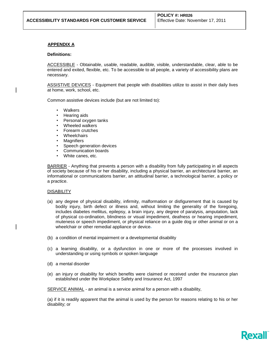# **APPENDIX A**

#### **Definitions:**

ACCESSIBLE - Obtainable, usable, readable, audible, visible, understandable, clear, able to be entered and exited, flexible, etc. To be accessible to all people, a variety of accessibility plans are necessary.

ASSISTIVE DEVICES - Equipment that people with disabilities utilize to assist in their daily lives at home, work, school, etc.

Common assistive devices include (but are not limited to):

- Walkers
- Hearing aids
- Personal oxygen tanks
- Wheeled walkers
- Forearm crutches
- **Wheelchairs**
- **Magnifiers**
- Speech generation devices
- Communication boards
- White canes, etc.

BARRIER - Anything that prevents a person with a disability from fully participating in all aspects of society because of his or her disability, including a physical barrier, an architectural barrier, an informational or communications barrier, an attitudinal barrier, a technological barrier, a policy or a practice.

## **DISABILITY**

- (a) any degree of physical disability, infirmity, malformation or disfigurement that is caused by bodily injury, birth defect or illness and, without limiting the generality of the foregoing, includes diabetes mellitus, epilepsy, a brain injury, any degree of paralysis, amputation, lack of physical co-ordination, blindness or visual impediment, deafness or hearing impediment, muteness or speech impediment, or physical reliance on a guide dog or other animal or on a wheelchair or other remedial appliance or device-
- (b) a condition of mental impairment or a developmental disability
- (c) a learning disability, or a dysfunction in one or more of the processes involved in understanding or using symbols or spoken language
- (d) a mental disorder
- (e) an injury or disability for which benefits were claimed or received under the insurance plan established under the Workplace Safety and Insurance Act, 1997

SERVICE ANIMAL - an animal is a service animal for a person with a disability,

(a) if it is readily apparent that the animal is used by the person for reasons relating to his or her disability; or

**Rex**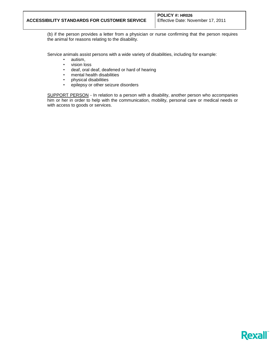(b) if the person provides a letter from a physician or nurse confirming that the person requires the animal for reasons relating to the disability.

Service animals assist persons with a wide variety of disabilities, including for example:

- autism,
- vision loss
- deaf, oral deaf, deafened or hard of hearing
- mental health disabilities
- physical disabilities
- epilepsy or other seizure disorders

SUPPORT PERSON - In relation to a person with a disability, another person who accompanies him or her in order to help with the communication, mobility, personal care or medical needs or with access to goods or services.